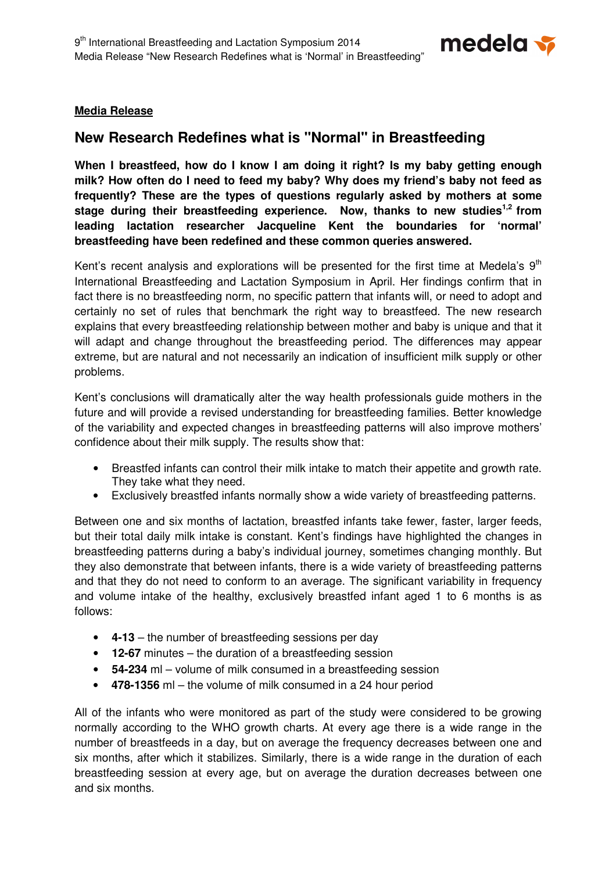

# **Media Release**

# **New Research Redefines what is "Normal" in Breastfeeding**

**When I breastfeed, how do I know I am doing it right? Is my baby getting enough milk? How often do I need to feed my baby? Why does my friend's baby not feed as frequently? These are the types of questions regularly asked by mothers at some stage during their breastfeeding experience. Now, thanks to new studies1,2 from leading lactation researcher Jacqueline Kent the boundaries for 'normal' breastfeeding have been redefined and these common queries answered.** 

Kent's recent analysis and explorations will be presented for the first time at Medela's  $9<sup>th</sup>$ International Breastfeeding and Lactation Symposium in April. Her findings confirm that in fact there is no breastfeeding norm, no specific pattern that infants will, or need to adopt and certainly no set of rules that benchmark the right way to breastfeed. The new research explains that every breastfeeding relationship between mother and baby is unique and that it will adapt and change throughout the breastfeeding period. The differences may appear extreme, but are natural and not necessarily an indication of insufficient milk supply or other problems.

Kent's conclusions will dramatically alter the way health professionals guide mothers in the future and will provide a revised understanding for breastfeeding families. Better knowledge of the variability and expected changes in breastfeeding patterns will also improve mothers' confidence about their milk supply. The results show that:

- Breastfed infants can control their milk intake to match their appetite and growth rate. They take what they need.
- Exclusively breastfed infants normally show a wide variety of breastfeeding patterns.

Between one and six months of lactation, breastfed infants take fewer, faster, larger feeds, but their total daily milk intake is constant. Kent's findings have highlighted the changes in breastfeeding patterns during a baby's individual journey, sometimes changing monthly. But they also demonstrate that between infants, there is a wide variety of breastfeeding patterns and that they do not need to conform to an average. The significant variability in frequency and volume intake of the healthy, exclusively breastfed infant aged 1 to 6 months is as follows:

- **4-13** the number of breastfeeding sessions per day
- **12-67** minutes the duration of a breastfeeding session
- **54-234** ml volume of milk consumed in a breastfeeding session
- **478-1356** ml the volume of milk consumed in a 24 hour period

All of the infants who were monitored as part of the study were considered to be growing normally according to the WHO growth charts. At every age there is a wide range in the number of breastfeeds in a day, but on average the frequency decreases between one and six months, after which it stabilizes. Similarly, there is a wide range in the duration of each breastfeeding session at every age, but on average the duration decreases between one and six months.